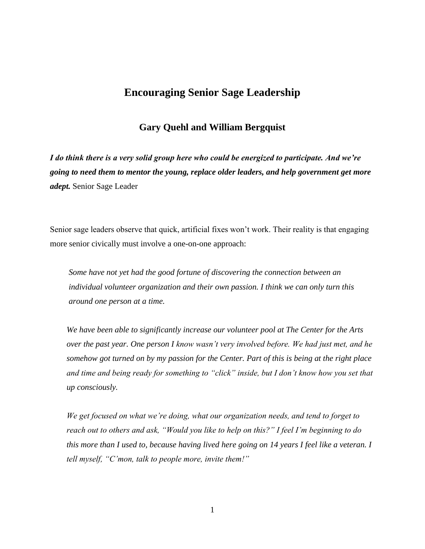# **Encouraging Senior Sage Leadership**

# **Gary Quehl and William Bergquist**

*I do think there is a very solid group here who could be energized to participate. And we're going to need them to mentor the young, replace older leaders, and help government get more adept.* Senior Sage Leader

Senior sage leaders observe that quick, artificial fixes won't work. Their reality is that engaging more senior civically must involve a one-on-one approach:

*Some have not yet had the good fortune of discovering the connection between an individual volunteer organization and their own passion. I think we can only turn this around one person at a time.* 

*We have been able to significantly increase our volunteer pool at The Center for the Arts over the past year. One person I know wasn't very involved before. We had just met, and he somehow got turned on by my passion for the Center. Part of this is being at the right place and time and being ready for something to "click" inside, but I don't know how you set that up consciously.* 

*We get focused on what we're doing, what our organization needs, and tend to forget to reach out to others and ask, "Would you like to help on this?" I feel I'm beginning to do this more than I used to, because having lived here going on 14 years I feel like a veteran. I tell myself, "C'mon, talk to people more, invite them!"*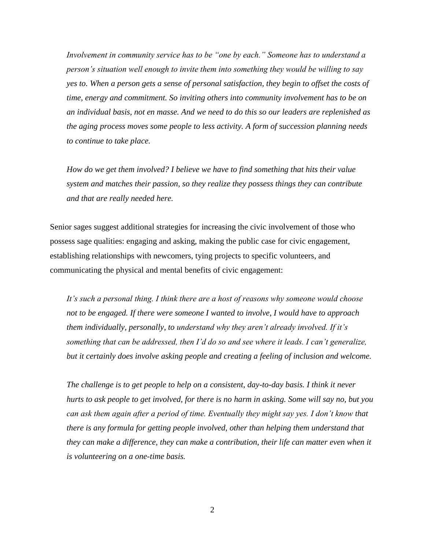*Involvement in community service has to be "one by each." Someone has to understand a person's situation well enough to invite them into something they would be willing to say yes to. When a person gets a sense of personal satisfaction, they begin to offset the costs of time, energy and commitment. So inviting others into community involvement has to be on an individual basis, not en masse. And we need to do this so our leaders are replenished as the aging process moves some people to less activity. A form of succession planning needs to continue to take place.*

 *How do we get them involved? I believe we have to find something that hits their value system and matches their passion, so they realize they possess things they can contribute and that are really needed here.* 

Senior sages suggest additional strategies for increasing the civic involvement of those who possess sage qualities: engaging and asking, making the public case for civic engagement, establishing relationships with newcomers, tying projects to specific volunteers, and communicating the physical and mental benefits of civic engagement:

*It's such a personal thing. I think there are a host of reasons why someone would choose not to be engaged. If there were someone I wanted to involve, I would have to approach them individually, personally, to understand why they aren't already involved. If it's something that can be addressed, then I'd do so and see where it leads. I can't generalize, but it certainly does involve asking people and creating a feeling of inclusion and welcome.* 

*The challenge is to get people to help on a consistent, day-to-day basis. I think it never hurts to ask people to get involved, for there is no harm in asking. Some will say no, but you can ask them again after a period of time. Eventually they might say yes. I don't know that there is any formula for getting people involved, other than helping them understand that they can make a difference, they can make a contribution, their life can matter even when it is volunteering on a one-time basis.*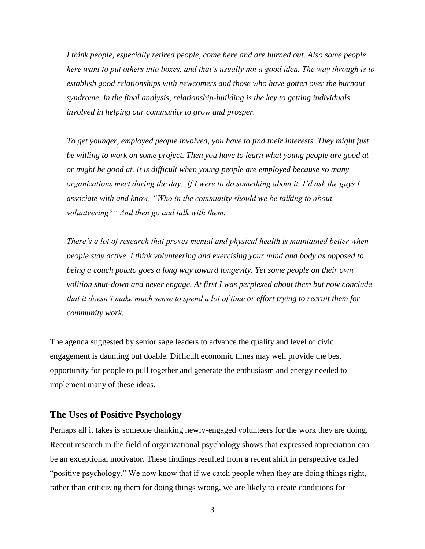*I think people, especially retired people, come here and are burned out. Also some people here want to put others into boxes, and that's usually not a good idea. The way through is to establish good relationships with newcomers and those who have gotten over the burnout syndrome. In the final analysis, relationship-building is the key to getting individuals involved in helping our community to grow and prosper.* 

*To get younger, employed people involved, you have to find their interests. They might just be willing to work on some project. Then you have to learn what young people are good at or might be good at. It is difficult when young people are employed because so many organizations meet during the day. If I were to do something about it, I'd ask the guys I associate with and know, "Who in the community should we be talking to about volunteering?" And then go and talk with them.*

*There's a lot of research that proves mental and physical health is maintained better when people stay active. I think volunteering and exercising your mind and body as opposed to being a couch potato goes a long way toward longevity. Yet some people on their own volition shut-down and never engage. At first I was perplexed about them but now conclude that it doesn't make much sense to spend a lot of time or effort trying to recruit them for community work.* 

The agenda suggested by senior sage leaders to advance the quality and level of civic engagement is daunting but doable. Difficult economic times may well provide the best opportunity for people to pull together and generate the enthusiasm and energy needed to implement many of these ideas.

## **The Uses of Positive Psychology**

Perhaps all it takes is someone thanking newly-engaged volunteers for the work they are doing. Recent research in the field of organizational psychology shows that expressed appreciation can be an exceptional motivator. These findings resulted from a recent shift in perspective called "positive psychology." We now know that if we catch people when they are doing things right, rather than criticizing them for doing things wrong, we are likely to create conditions for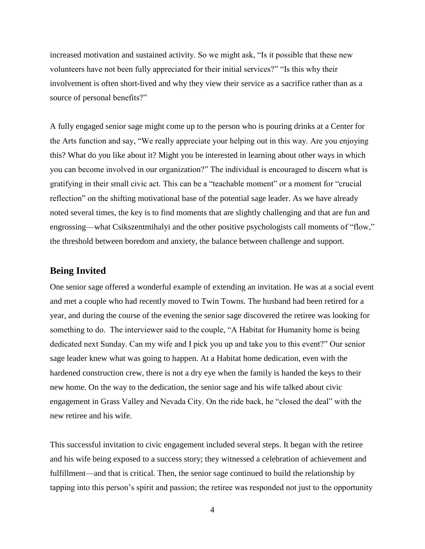increased motivation and sustained activity. So we might ask, "Is it possible that these new volunteers have not been fully appreciated for their initial services?" "Is this why their involvement is often short-lived and why they view their service as a sacrifice rather than as a source of personal benefits?"

A fully engaged senior sage might come up to the person who is pouring drinks at a Center for the Arts function and say, "We really appreciate your helping out in this way. Are you enjoying this? What do you like about it? Might you be interested in learning about other ways in which you can become involved in our organization?" The individual is encouraged to discern what is gratifying in their small civic act. This can be a "teachable moment" or a moment for "crucial reflection" on the shifting motivational base of the potential sage leader. As we have already noted several times, the key is to find moments that are slightly challenging and that are fun and engrossing—what Csikszentmihalyi and the other positive psychologists call moments of "flow," the threshold between boredom and anxiety, the balance between challenge and support.

#### **Being Invited**

One senior sage offered a wonderful example of extending an invitation. He was at a social event and met a couple who had recently moved to Twin Towns. The husband had been retired for a year, and during the course of the evening the senior sage discovered the retiree was looking for something to do. The interviewer said to the couple, "A Habitat for Humanity home is being dedicated next Sunday. Can my wife and I pick you up and take you to this event?" Our senior sage leader knew what was going to happen. At a Habitat home dedication, even with the hardened construction crew, there is not a dry eye when the family is handed the keys to their new home. On the way to the dedication, the senior sage and his wife talked about civic engagement in Grass Valley and Nevada City. On the ride back, he "closed the deal" with the new retiree and his wife.

This successful invitation to civic engagement included several steps. It began with the retiree and his wife being exposed to a success story; they witnessed a celebration of achievement and fulfillment—and that is critical. Then, the senior sage continued to build the relationship by tapping into this person's spirit and passion; the retiree was responded not just to the opportunity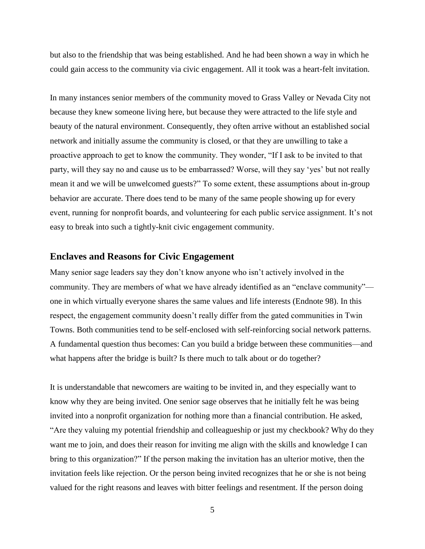but also to the friendship that was being established. And he had been shown a way in which he could gain access to the community via civic engagement. All it took was a heart-felt invitation.

In many instances senior members of the community moved to Grass Valley or Nevada City not because they knew someone living here, but because they were attracted to the life style and beauty of the natural environment. Consequently, they often arrive without an established social network and initially assume the community is closed, or that they are unwilling to take a proactive approach to get to know the community. They wonder, "If I ask to be invited to that party, will they say no and cause us to be embarrassed? Worse, will they say 'yes' but not really mean it and we will be unwelcomed guests?" To some extent, these assumptions about in-group behavior are accurate. There does tend to be many of the same people showing up for every event, running for nonprofit boards, and volunteering for each public service assignment. It's not easy to break into such a tightly-knit civic engagement community.

### **Enclaves and Reasons for Civic Engagement**

Many senior sage leaders say they don't know anyone who isn't actively involved in the community. They are members of what we have already identified as an "enclave community" one in which virtually everyone shares the same values and life interests (Endnote 98). In this respect, the engagement community doesn't really differ from the gated communities in Twin Towns. Both communities tend to be self-enclosed with self-reinforcing social network patterns. A fundamental question thus becomes: Can you build a bridge between these communities—and what happens after the bridge is built? Is there much to talk about or do together?

It is understandable that newcomers are waiting to be invited in, and they especially want to know why they are being invited. One senior sage observes that he initially felt he was being invited into a nonprofit organization for nothing more than a financial contribution. He asked, "Are they valuing my potential friendship and colleagueship or just my checkbook? Why do they want me to join, and does their reason for inviting me align with the skills and knowledge I can bring to this organization?" If the person making the invitation has an ulterior motive, then the invitation feels like rejection. Or the person being invited recognizes that he or she is not being valued for the right reasons and leaves with bitter feelings and resentment. If the person doing